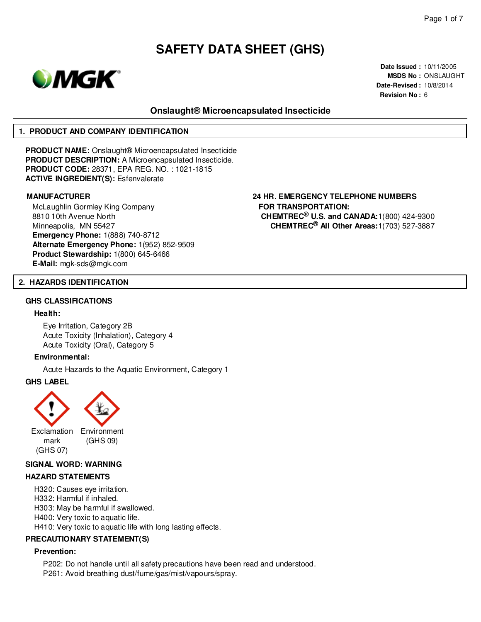

**Date Issued :** 10/11/2005 **MSDS No :** ONSLAUGHT **Date-Revised :** 10/8/2014 **Revision No :** 6

# **Onslaught® Microencapsulated Insecticide**

#### **1. PRODUCT AND COMPANY IDENTIFICATION**

**PRODUCT NAME:** Onslaught® Microencapsulated Insecticide **PRODUCT DESCRIPTION:** A Microencapsulated Insecticide. **PRODUCT CODE:** 28371, EPA REG. NO. : 1021-1815 **ACTIVE INGREDIENT(S):** Esfenvalerate

McLaughlin Gormley King Company 8810 10th Avenue North Minneapolis, MN 55427 **Emergency Phone:** 1(888) 740-8712 **Alternate Emergency Phone:** 1(952) 852-9509 **Product Stewardship:** 1(800) 645-6466 **E-Mail:** mgk-sds@mgk.com

### **MANUFACTURER 24 HR. EMERGENCY TELEPHONE NUMBERS FOR TRANSPORTATION: CHEMTREC® U.S. and CANADA:**1(800) 424-9300 **CHEMTREC® All Other Areas:**1(703) 527-3887

#### **2. HAZARDS IDENTIFICATION**

#### **GHS CLASSIFICATIONS**

#### **Health:**

Eye Irritation, Category 2B Acute Toxicity (Inhalation), Category 4 Acute Toxicity (Oral), Category 5

#### **Environmental:**

Acute Hazards to the Aquatic Environment, Category 1

#### **GHS LABEL**





Exclamation Environment mark (GHS 07)

(GHS 09)

#### **SIGNAL WORD: WARNING**

#### **HAZARD STATEMENTS**

H320: Causes eye irritation. H332: Harmful if inhaled. H303: May be harmful if swallowed. H400: Very toxic to aquatic life. H410: Very toxic to aquatic life with long lasting effects.

#### **PRECAUTIONARY STATEMENT(S)**

#### **Prevention:**

P202: Do not handle until all safety precautions have been read and understood. P261: Avoid breathing dust/fume/gas/mist/vapours/spray.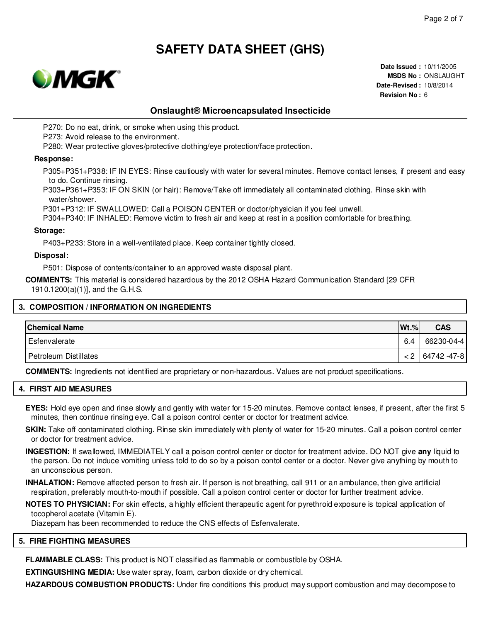

**Date Issued :** 10/11/2005 **MSDS No :** ONSLAUGHT **Date-Revised :** 10/8/2014 **Revision No :** 6

# **Onslaught® Microencapsulated Insecticide**

P270: Do no eat, drink, or smoke when using this product.

P273: Avoid release to the environment.

P280: Wear protective gloves/protective clothing/eye protection/face protection.

#### **Response:**

P305+P351+P338: IF IN EYES: Rinse cautiously with water for several minutes. Remove contact lenses, if present and easy to do. Continue rinsing.

P303+P361+P353: IF ON SKIN (or hair): Remove/Take off immediately all contaminated clothing. Rinse skin with water/shower.

P301+P312: IF SWALLOWED: Call a POISON CENTER or doctor/physician if you feel unwell.

P304+P340: IF INHALED: Remove victim to fresh air and keep at rest in a position comfortable for breathing.

#### **Storage:**

P403+P233: Store in a well-ventilated place. Keep container tightly closed.

### **Disposal:**

P501: Dispose of contents/container to an approved waste disposal plant.

**COMMENTS:** This material is considered hazardous by the 2012 OSHA Hazard Communication Standard [29 CFR 1910.1200(a)(1)], and the G.H.S.

#### **3. COMPOSITION / INFORMATION ON INGREDIENTS**

| <b>Chemical Name</b>  | $Wt.\%$ | <b>CAS</b>  |
|-----------------------|---------|-------------|
| Esfenvalerate         | 6.4     | 66230-04-4  |
| Petroleum Distillates | < 2     | 64742 -47-8 |

**COMMENTS:** Ingredients not identified are proprietary or non-hazardous. Values are not product specifications.

### **4. FIRST AID MEASURES**

**EYES:** Hold eye open and rinse slowly and gently with water for 15-20 minutes. Remove contact lenses, if present, after the first 5 minutes, then continue rinsing eye. Call a poison control center or doctor for treatment advice.

- **SKIN:** Take off contaminated clothing. Rinse skin immediately with plenty of water for 15-20 minutes. Call a poison control center or doctor for treatment advice.
- **INGESTION:** If swallowed, IMMEDIATELY call a poison control center or doctor for treatment advice. DO NOT give **any** liquid to the person. Do not induce vomiting unless told to do so by a poison contol center or a doctor. Never give anything by mouth to an unconscious person.
- **INHALATION:** Remove affected person to fresh air. If person is not breathing, call 911 or an ambulance, then give artificial respiration, preferably mouth-to-mouth if possible. Call a poison control center or doctor for further treatment advice.
- **NOTES TO PHYSICIAN:** For skin effects, a highly efficient therapeutic agent for pyrethroid exposure is topical application of tocopherol acetate (Vitamin E).

Diazepam has been recommended to reduce the CNS effects of Esfenvalerate.

#### **5. FIRE FIGHTING MEASURES**

**FLAMMABLE CLASS:** This product is NOT classified as flammable or combustible by OSHA.

**EXTINGUISHING MEDIA:** Use water spray, foam, carbon dioxide or dry chemical.

**HAZARDOUS COMBUSTION PRODUCTS:** Under fire conditions this product may support combustion and may decompose to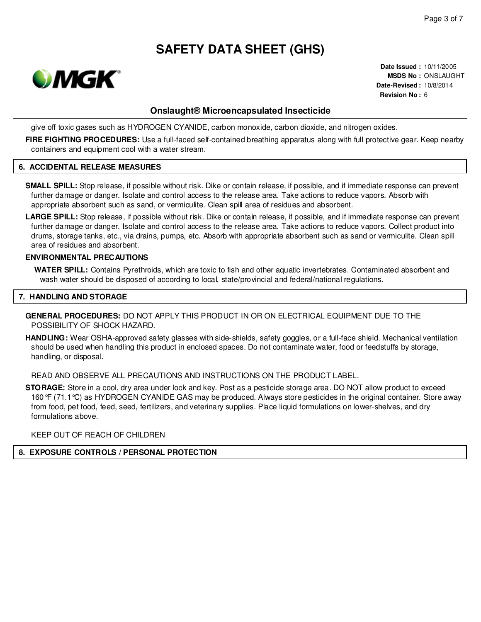

**Date Issued :** 10/11/2005 **MSDS No :** ONSLAUGHT **Date-Revised :** 10/8/2014 **Revision No :** 6

# **Onslaught® Microencapsulated Insecticide**

give off toxic gases such as HYDROGEN CYANIDE, carbon monoxide, carbon dioxide, and nitrogen oxides.

**FIRE FIGHTING PROCEDURES:** Use a full-faced self-contained breathing apparatus along with full protective gear. Keep nearby containers and equipment cool with a water stream.

#### **6. ACCIDENTAL RELEASE MEASURES**

- **SMALL SPILL:** Stop release, if possible without risk. Dike or contain release, if possible, and if immediate response can prevent further damage or danger. Isolate and control access to the release area. Take actions to reduce vapors. Absorb with appropriate absorbent such as sand, or vermiculite. Clean spill area of residues and absorbent.
- **LARGE SPILL:** Stop release, if possible without risk. Dike or contain release, if possible, and if immediate response can prevent further damage or danger. Isolate and control access to the release area. Take actions to reduce vapors. Collect product into drums, storage tanks, etc., via drains, pumps, etc. Absorb with appropriate absorbent such as sand or vermiculite. Clean spill area of residues and absorbent.

#### **ENVIRONMENTAL PRECAUTIONS**

**WATER SPILL:** Contains Pyrethroids, which are toxic to fish and other aquatic invertebrates. Contaminated absorbent and wash water should be disposed of according to local, state/provincial and federal/national regulations.

#### **7. HANDLING AND STORAGE**

**GENERAL PROCEDURES:** DO NOT APPLY THIS PRODUCT IN OR ON ELECTRICAL EQUIPMENT DUE TO THE POSSIBILITY OF SHOCK HAZARD.

**HANDLING:** Wear OSHA-approved safety glasses with side-shields, safety goggles, or a full-face shield. Mechanical ventilation should be used when handling this product in enclosed spaces. Do not contaminate water, food or feedstuffs by storage, handling, or disposal.

READ AND OBSERVE ALL PRECAUTIONS AND INSTRUCTIONS ON THE PRODUCT LABEL.

**STORAGE:** Store in a cool, dry area under lock and key. Post as a pesticide storage area. DO NOT allow product to exceed 160°F (71.1°C) as HYDROGEN CYANIDE GAS may be produced. Always store pesticides in the original container. Store away from food, pet food, feed, seed, fertilizers, and veterinary supplies. Place liquid formulations on lower-shelves, and dry formulations above.

KEEP OUT OF REACH OF CHILDREN

#### **8. EXPOSURE CONTROLS / PERSONAL PROTECTION**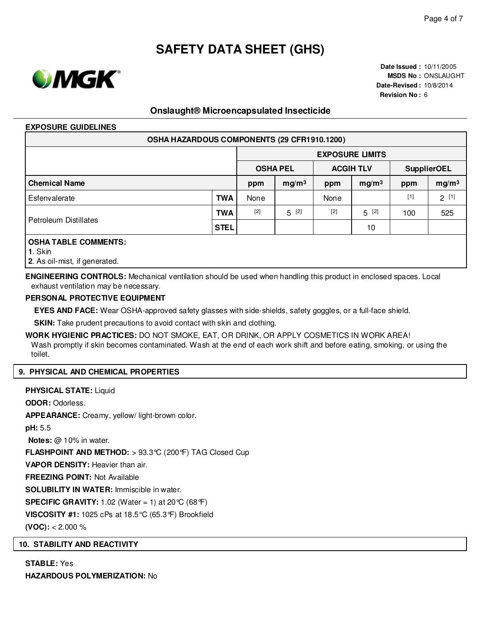

**Date Issued :** 10/11/2005 **MSDS No :** ONSLAUGHT **Date-Revised :** 10/8/2014 **Revision No :** 6

# **Onslaught® Microencapsulated Insecticide**

#### **EXPOSURE GUIDELINES**

| OSHA HAZARDOUS COMPONENTS (29 CFR1910.1200) |             |                        |                   |                  |                   |                    |                   |  |  |
|---------------------------------------------|-------------|------------------------|-------------------|------------------|-------------------|--------------------|-------------------|--|--|
|                                             |             | <b>EXPOSURE LIMITS</b> |                   |                  |                   |                    |                   |  |  |
|                                             |             | <b>OSHA PEL</b>        |                   | <b>ACGIH TLV</b> |                   | <b>SupplierOEL</b> |                   |  |  |
| <b>Chemical Name</b>                        |             | ppm                    | mg/m <sup>3</sup> | ppm              | mg/m <sup>3</sup> | ppm                | mg/m <sup>3</sup> |  |  |
| Esfenvalerate                               | <b>TWA</b>  | None                   |                   | None             |                   | $[1]$              | $2^{[1]}$         |  |  |
| Petroleum Distillates                       | <b>TWA</b>  | $[2]$                  | $5^{[2]}$         | $[2]$            | $5^{[2]}$         | 100                | 525               |  |  |
|                                             | <b>STEL</b> |                        |                   |                  | 10                |                    |                   |  |  |
| <b>OSHA TABLE COMMENTS:</b>                 |             |                        |                   |                  |                   |                    |                   |  |  |

**1**. Skin

**2**. As oil-mist, if generated.

**ENGINEERING CONTROLS:** Mechanical ventilation should be used when handling this product in enclosed spaces. Local exhaust ventilation may be necessary.

#### **PERSONAL PROTECTIVE EQUIPMENT**

**EYES AND FACE:** Wear OSHA-approved safety glasses with side-shields, safety goggles, or a full-face shield.

**SKIN:** Take prudent precautions to avoid contact with skin and clothing.

**WORK HYGIENIC PRACTICES:** DO NOT SMOKE, EAT, OR DRINK, OR APPLY COSMETICS IN WORK AREA! Wash promptly if skin becomes contaminated. Wash at the end of each work shift and before eating, smoking, or using the toilet.

#### **9. PHYSICAL AND CHEMICAL PROPERTIES**

**PHYSICAL STATE:** Liquid **ODOR:** Odorless. **APPEARANCE:** Creamy, yellow/ light-brown color. **pH:** 5.5 **Notes:** @ 10% in water. **FLASHPOINT AND METHOD:** > 93.3°C (200°F) TAG Closed Cup **VAPOR DENSITY:** Heavier than air. **FREEZING POINT:** Not Available **SOLUBILITY IN WATER:** Immiscible in water. **SPECIFIC GRAVITY:** 1.02 (Water = 1) at  $20^{\circ}C$  (68 $^{\circ}F$ ) **VISCOSITY #1:** 1025 cPs at 18.5°C (65.3°F) Brookfield **(VOC):** < 2.000 %

### **10. STABILITY AND REACTIVITY**

**STABLE:** Yes **HAZARDOUS POLYMERIZATION:** No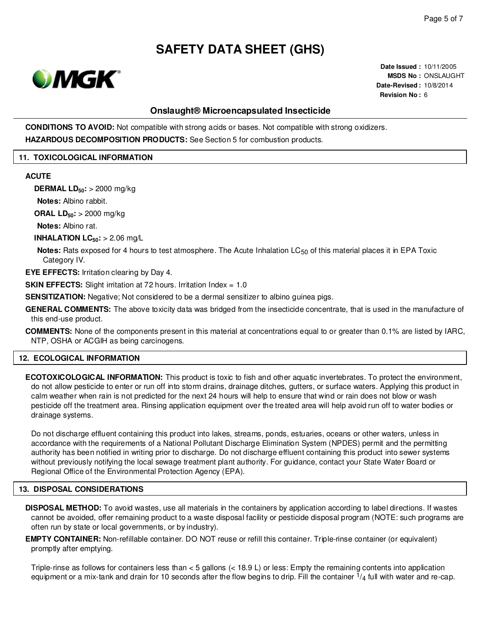

**Date Issued :** 10/11/2005 **MSDS No :** ONSLAUGHT **Date-Revised :** 10/8/2014 **Revision No :** 6

# **Onslaught® Microencapsulated Insecticide**

**CONDITIONS TO AVOID:** Not compatible with strong acids or bases. Not compatible with strong oxidizers.

**HAZARDOUS DECOMPOSITION PRODUCTS:** See Section 5 for combustion products.

#### **11. TOXICOLOGICAL INFORMATION**

#### **ACUTE**

**DERMAL LD50:** > 2000 mg/kg

**Notes:** Albino rabbit.

**ORAL LD50:** > 2000 mg/kg

**Notes:** Albino rat.

**INHALATION LC50:** > 2.06 mg/L

**Notes:** Rats exposed for 4 hours to test atmosphere. The Acute Inhalation LC<sub>50</sub> of this material places it in EPA Toxic Category IV.

**EYE EFFECTS:** Irritation clearing by Day 4.

**SKIN EFFECTS:** Slight irritation at 72 hours. Irritation Index = 1.0

**SENSITIZATION:** Negative; Not considered to be a dermal sensitizer to albino guinea pigs.

**GENERAL COMMENTS:** The above toxicity data was bridged from the insecticide concentrate, that is used in the manufacture of this end-use product.

**COMMENTS:** None of the components present in this material at concentrations equal to or greater than 0.1% are listed by IARC, NTP, OSHA or ACGIH as being carcinogens.

#### **12. ECOLOGICAL INFORMATION**

**ECOTOXICOLOGICAL INFORMATION:** This product is toxic to fish and other aquatic invertebrates. To protect the environment, do not allow pesticide to enter or run off into storm drains, drainage ditches, gutters, or surface waters. Applying this product in calm weather when rain is not predicted for the next 24 hours will help to ensure that wind or rain does not blow or wash pesticide off the treatment area. Rinsing application equipment over the treated area will help avoid run off to water bodies or drainage systems.

Do not discharge effluent containing this product into lakes, streams, ponds, estuaries, oceans or other waters, unless in accordance with the requirements of a National Pollutant Discharge Elimination System (NPDES) permit and the permitting authority has been notified in writing prior to discharge. Do not discharge effluent containing this product into sewer systems without previously notifying the local sewage treatment plant authority. For guidance, contact your State Water Board or Regional Office of the Environmental Protection Agency (EPA).

#### **13. DISPOSAL CONSIDERATIONS**

**DISPOSAL METHOD:** To avoid wastes, use all materials in the containers by application according to label directions. If wastes cannot be avoided, offer remaining product to a waste disposal facility or pesticide disposal program (NOTE: such programs are often run by state or local governments, or by industry).

**EMPTY CONTAINER:** Non-refillable container. DO NOT reuse or refill this container. Triple-rinse container (or equivalent) promptly after emptying.

Triple-rinse as follows for containers less than < 5 gallons (< 18.9 L) or less: Empty the remaining contents into application equipment or a mix-tank and drain for 10 seconds after the flow begins to drip. Fill the container  $1/4$  full with water and re-cap.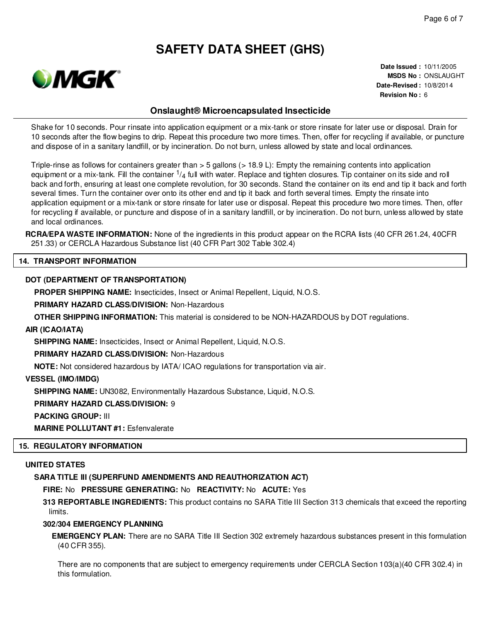

**Date Issued :** 10/11/2005 **MSDS No :** ONSLAUGHT **Date-Revised :** 10/8/2014 **Revision No :** 6

# **Onslaught® Microencapsulated Insecticide**

Shake for 10 seconds. Pour rinsate into application equipment or a mix-tank or store rinsate for later use or disposal. Drain for 10 seconds after the flow begins to drip. Repeat this procedure two more times. Then, offer for recycling if available, or puncture and dispose of in a sanitary landfill, or by incineration. Do not burn, unless allowed by state and local ordinances.

Triple-rinse as follows for containers greater than > 5 gallons (> 18.9 L): Empty the remaining contents into application equipment or a mix-tank. Fill the container  $\frac{1}{4}$  full with water. Replace and tighten closures. Tip container on its side and roll back and forth, ensuring at least one complete revolution, for 30 seconds. Stand the container on its end and tip it back and forth several times. Turn the container over onto its other end and tip it back and forth several times. Empty the rinsate into application equipment or a mix-tank or store rinsate for later use or disposal. Repeat this procedure two more times. Then, offer for recycling if available, or puncture and dispose of in a sanitary landfill, or by incineration. Do not burn, unless allowed by state and local ordinances.

**RCRA/EPA WASTE INFORMATION:** None of the ingredients in this product appear on the RCRA lists (40 CFR 261.24, 40CFR 251.33) or CERCLA Hazardous Substance list (40 CFR Part 302 Table 302.4)

#### **14. TRANSPORT INFORMATION**

#### **DOT (DEPARTMENT OF TRANSPORTATION)**

**PROPER SHIPPING NAME:** Insecticides, Insect or Animal Repellent, Liquid, N.O.S.

**PRIMARY HAZARD CLASS/DIVISION:** Non-Hazardous

**OTHER SHIPPING INFORMATION:** This material is considered to be NON-HAZARDOUS by DOT regulations.

#### **AIR (ICAO/IATA)**

**SHIPPING NAME:** Insecticides, Insect or Animal Repellent, Liquid, N.O.S.

**PRIMARY HAZARD CLASS/DIVISION:** Non-Hazardous

**NOTE:** Not considered hazardous by IATA/ ICAO regulations for transportation via air.

**VESSEL (IMO/IMDG)**

**SHIPPING NAME:** UN3082, Environmentally Hazardous Substance, Liquid, N.O.S.

**PRIMARY HAZARD CLASS/DIVISION:** 9

**PACKING GROUP:** III

**MARINE POLLUTANT #1:** Esfenvalerate

#### **15. REGULATORY INFORMATION**

#### **UNITED STATES**

#### **SARA TITLE III (SUPERFUND AMENDMENTS AND REAUTHORIZATION ACT)**

**FIRE:** No **PRESSURE GENERATING:** No **REACTIVITY:** No **ACUTE:** Yes

**313 REPORTABLE INGREDIENTS:** This product contains no SARA Title III Section 313 chemicals that exceed the reporting limits.

### **302/304 EMERGENCY PLANNING**

**EMERGENCY PLAN:** There are no SARA Title III Section 302 extremely hazardous substances present in this formulation (40 CFR 355).

There are no components that are subject to emergency requirements under CERCLA Section 103(a)(40 CFR 302.4) in this formulation.